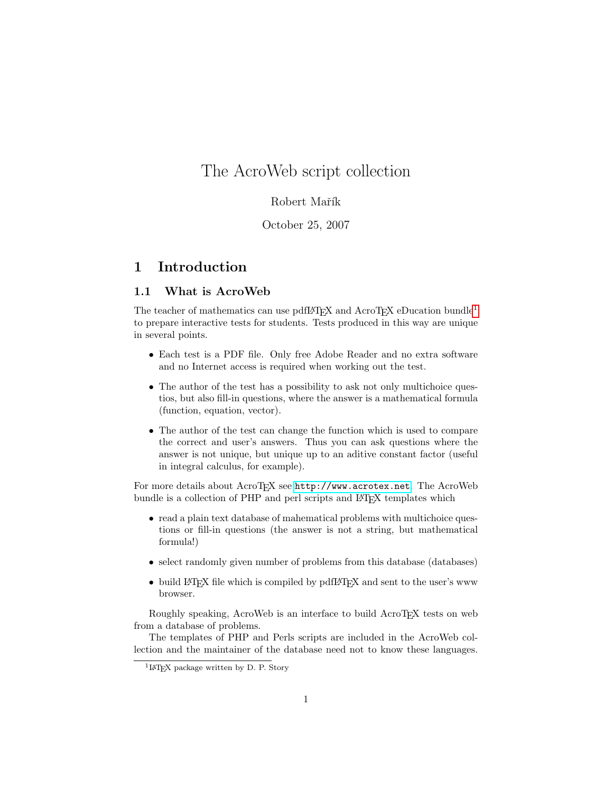# The AcroWeb script collection

# Robert Mařík

# October 25, 2007

# 1 Introduction

# 1.1 What is AcroWeb

The teacher of mathematics can use pdfIAT<sub>EX</sub> and AcroT<sub>EX</sub> eDucation bundle<sup>[1](#page-0-0)</sup> to prepare interactive tests for students. Tests produced in this way are unique in several points.

- Each test is a PDF file. Only free Adobe Reader and no extra software and no Internet access is required when working out the test.
- The author of the test has a possibility to ask not only multichoice questios, but also fill-in questions, where the answer is a mathematical formula (function, equation, vector).
- The author of the test can change the function which is used to compare the correct and user's answers. Thus you can ask questions where the answer is not unique, but unique up to an aditive constant factor (useful in integral calculus, for example).

For more details about AcroTEX see <http://www.acrotex.net>. The AcroWeb bundle is a collection of PHP and perl scripts and L<sup>A</sup>T<sub>E</sub>X templates which

- read a plain text database of mahematical problems with multichoice questions or fill-in questions (the answer is not a string, but mathematical formula!)
- select randomly given number of problems from this database (databases)
- build LAT<sub>EX</sub> file which is compiled by pdfLAT<sub>EX</sub> and sent to the user's www browser.

Roughly speaking, AcroWeb is an interface to build AcroT<sub>E</sub>X tests on web from a database of problems.

The templates of PHP and Perls scripts are included in the AcroWeb collection and the maintainer of the database need not to know these languages.

<span id="page-0-0"></span><sup>&</sup>lt;sup>1</sup>LAT<sub>EX</sub> package written by D. P. Story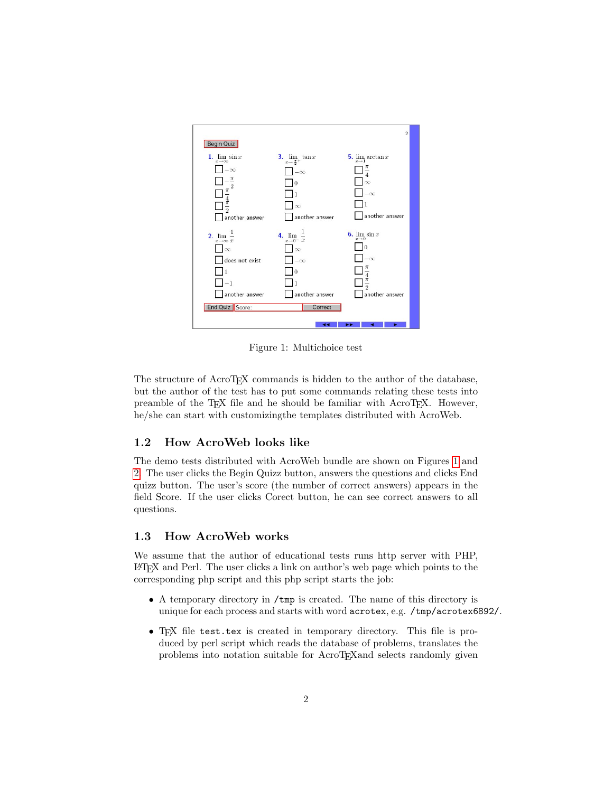

<span id="page-1-0"></span>Figure 1: Multichoice test

The structure of AcroT<sub>EX</sub> commands is hidden to the author of the database, but the author of the test has to put some commands relating these tests into preamble of the TEX file and he should be familiar with AcroTEX. However, he/she can start with customizingthe templates distributed with AcroWeb.

## 1.2 How AcroWeb looks like

The demo tests distributed with AcroWeb bundle are shown on Figures [1](#page-1-0) and [2.](#page-2-0) The user clicks the Begin Quizz button, answers the questions and clicks End quizz button. The user's score (the number of correct answers) appears in the field Score. If the user clicks Corect button, he can see correct answers to all questions.

#### 1.3 How AcroWeb works

We assume that the author of educational tests runs http server with PHP, LATEX and Perl. The user clicks a link on author's web page which points to the corresponding php script and this php script starts the job:

- A temporary directory in /tmp is created. The name of this directory is unique for each process and starts with word acrotex, e.g. /tmp/acrotex6892/.
- TEX file test.tex is created in temporary directory. This file is produced by perl script which reads the database of problems, translates the problems into notation suitable for AcroTEXand selects randomly given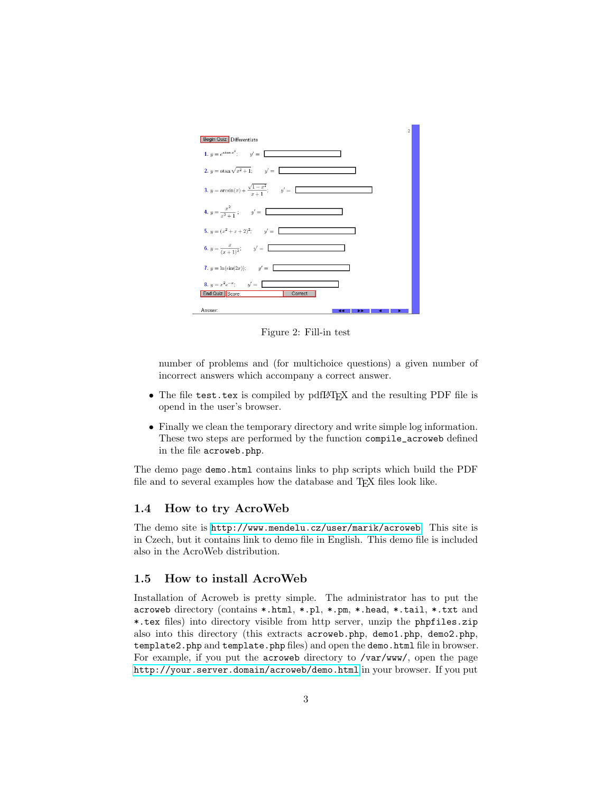

<span id="page-2-0"></span>Figure 2: Fill-in test

number of problems and (for multichoice questions) a given number of incorrect answers which accompany a correct answer.

- The file test.tex is compiled by pdfLAT<sub>E</sub>X and the resulting PDF file is opend in the user's browser.
- Finally we clean the temporary directory and write simple log information. These two steps are performed by the function compile\_acroweb defined in the file acroweb.php.

The demo page demo.html contains links to php scripts which build the PDF file and to several examples how the database and TEX files look like.

## 1.4 How to try AcroWeb

The demo site is <http://www.mendelu.cz/user/marik/acroweb>. This site is in Czech, but it contains link to demo file in English. This demo file is included also in the AcroWeb distribution.

## 1.5 How to install AcroWeb

Installation of Acroweb is pretty simple. The administrator has to put the acroweb directory (contains \*.html, \*.pl, \*.pm, \*.head, \*.tail, \*.txt and \*.tex files) into directory visible from http server, unzip the phpfiles.zip also into this directory (this extracts acroweb.php, demo1.php, demo2.php, template2.php and template.php files) and open the demo.html file in browser. For example, if you put the acroweb directory to /var/www/, open the page <http://your.server.domain/acroweb/demo.html> in your browser. If you put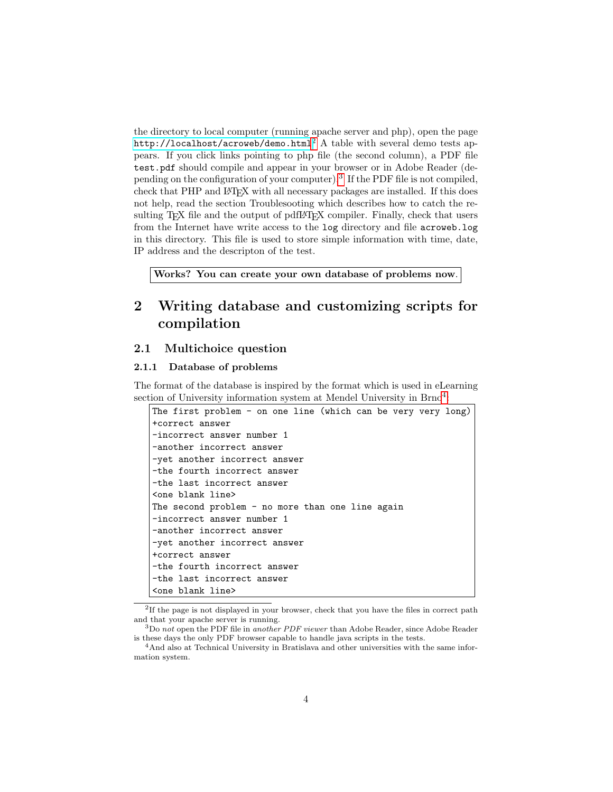the directory to local computer (running apache server and php), open the page <http://localhost/acroweb/demo.html>[2](#page-3-0) A table with several demo tests appears. If you click links pointing to php file (the second column), a PDF file test.pdf should compile and appear in your browser or in Adobe Reader (de-pending on the configuration of your computer).<sup>[3](#page-3-1)</sup> If the PDF file is not compiled, check that PHP and LATEX with all necessary packages are installed. If this does not help, read the section Troublesooting which describes how to catch the resulting TEX file and the output of pdfL<sup>AT</sup>EX compiler. Finally, check that users from the Internet have write access to the log directory and file acroweb.log in this directory. This file is used to store simple information with time, date, IP address and the descripton of the test.

Works? You can create your own database of problems now.

# 2 Writing database and customizing scripts for compilation

#### 2.1 Multichoice question

#### 2.1.1 Database of problems

The format of the database is inspired by the format which is used in eLearning section of University information system at Mendel University in Brno<sup>[4](#page-3-2)</sup>:

| The first problem - on one line (which can be very very long) |  |  |  |  |  |  |  |
|---------------------------------------------------------------|--|--|--|--|--|--|--|
| +correct answer                                               |  |  |  |  |  |  |  |
| -incorrect answer number 1                                    |  |  |  |  |  |  |  |
| -another incorrect answer                                     |  |  |  |  |  |  |  |
| -yet another incorrect answer                                 |  |  |  |  |  |  |  |
| -the fourth incorrect answer                                  |  |  |  |  |  |  |  |
| -the last incorrect answer                                    |  |  |  |  |  |  |  |
| <one blank="" line=""></one>                                  |  |  |  |  |  |  |  |
| The second problem - no more than one line again              |  |  |  |  |  |  |  |
| -incorrect answer number 1                                    |  |  |  |  |  |  |  |
| -another incorrect answer                                     |  |  |  |  |  |  |  |
| -yet another incorrect answer                                 |  |  |  |  |  |  |  |
| +correct answer                                               |  |  |  |  |  |  |  |
| -the fourth incorrect answer                                  |  |  |  |  |  |  |  |
| -the last incorrect answer                                    |  |  |  |  |  |  |  |
| <one blank="" line=""></one>                                  |  |  |  |  |  |  |  |

<span id="page-3-0"></span><sup>&</sup>lt;sup>2</sup>If the page is not displayed in your browser, check that you have the files in correct path and that your apache server is running.

<span id="page-3-1"></span> $3D\sigma$  not open the PDF file in another PDF viewer than Adobe Reader, since Adobe Reader is these days the only PDF browser capable to handle java scripts in the tests.

<span id="page-3-2"></span><sup>4</sup>And also at Technical University in Bratislava and other universities with the same information system.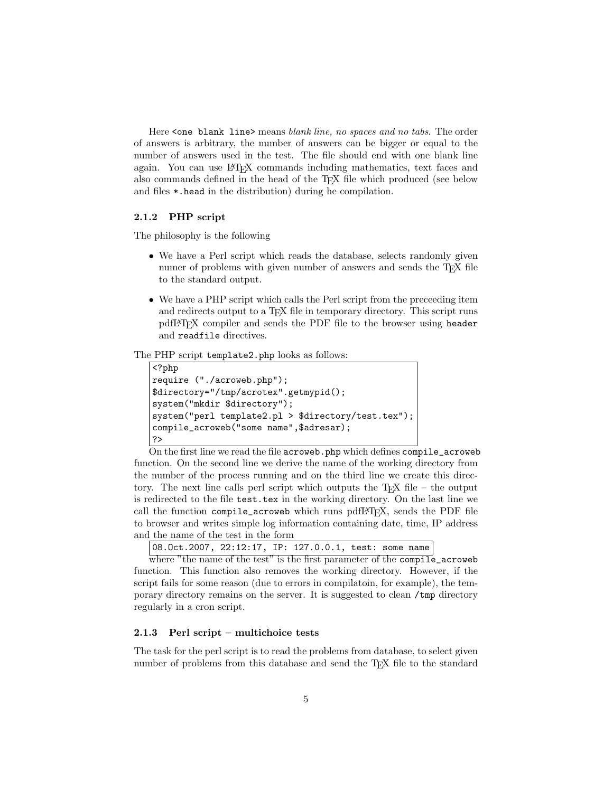Here <one blank line> means blank line, no spaces and no tabs. The order of answers is arbitrary, the number of answers can be bigger or equal to the number of answers used in the test. The file should end with one blank line again. You can use LATEX commands including mathematics, text faces and also commands defined in the head of the TEX file which produced (see below and files \*.head in the distribution) during he compilation.

#### 2.1.2 PHP script

The philosophy is the following

- We have a Perl script which reads the database, selects randomly given numer of problems with given number of answers and sends the T<sub>E</sub>X file to the standard output.
- We have a PHP script which calls the Perl script from the preceeding item and redirects output to a T<sub>F</sub>X file in temporary directory. This script runs pdfLATEX compiler and sends the PDF file to the browser using header and readfile directives.

#### The PHP script template2.php looks as follows:

```
<?php
require ("./acroweb.php");
$directory="/tmp/acrotex".getmypid();
system("mkdir $directory");
system("perl template2.pl > $directory/test.tex");
compile_acroweb("some name",$adresar);
?>
```
On the first line we read the file acroweb.php which defines compile\_acroweb function. On the second line we derive the name of the working directory from the number of the process running and on the third line we create this directory. The next line calls perl script which outputs the  $T_{F}X$  file – the output is redirected to the file test.tex in the working directory. On the last line we call the function compile\_acroweb which runs pdfIAT<sub>E</sub>X, sends the PDF file to browser and writes simple log information containing date, time, IP address and the name of the test in the form

| $ 08.0ct.2007, 22:12:17, IP: 127.0.0.1, test: some name $ |  |  |  |  |  |  |
|-----------------------------------------------------------|--|--|--|--|--|--|
|-----------------------------------------------------------|--|--|--|--|--|--|

where "the name of the test" is the first parameter of the compile\_acroweb function. This function also removes the working directory. However, if the script fails for some reason (due to errors in compilatoin, for example), the temporary directory remains on the server. It is suggested to clean /tmp directory regularly in a cron script.

#### 2.1.3 Perl script – multichoice tests

The task for the perl script is to read the problems from database, to select given number of problems from this database and send the T<sub>E</sub>X file to the standard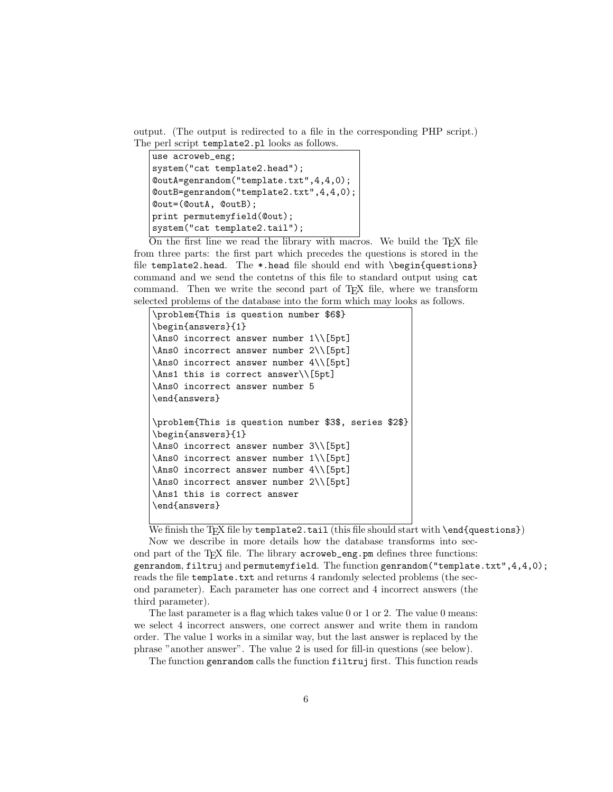output. (The output is redirected to a file in the corresponding PHP script.) The perl script template2.pl looks as follows.

```
use acroweb_eng;
system("cat template2.head");
@outA=genrandom("template.txt",4,4,0);
@outB=genrandom("template2.txt",4,4,0);
@out=(@outA, @outB);
print permutemyfield(@out);
system("cat template2.tail");
```
On the first line we read the library with macros. We build the  $T_F X$  file from three parts: the first part which precedes the questions is stored in the file template2.head. The \*.head file should end with \begin{questions} command and we send the contetns of this file to standard output using cat command. Then we write the second part of T<sub>E</sub>X file, where we transform selected problems of the database into the form which may looks as follows.

```
\problem{This is question number $6$}
\begin{answers}{1}
\Ans0 incorrect answer number 1\\[5pt]
\Ans0 incorrect answer number 2\\[5pt]
\Ans0 incorrect answer number 4\\[5pt]
\Ans1 this is correct answer\\[5pt]
\Ans0 incorrect answer number 5
\end{answers}
\problem{This is question number $3$, series $2$}
\begin{answers}{1}
\Ans0 incorrect answer number 3\\[5pt]
\Ans0 incorrect answer number 1\\[5pt]
\Ans0 incorrect answer number 4\\[5pt]
\Ans0 incorrect answer number 2\\[5pt]
\Ans1 this is correct answer
\end{answers}
```
We finish the TEX file by  $\text{template2.tail}$  (this file should start with  $\text{endぱ}$ )

Now we describe in more details how the database transforms into second part of the TFX file. The library acroweb\_eng.pm defines three functions: genrandom, filtruj and permutemyfield. The function genrandom ("template.txt",  $4, 4, 0$ ); reads the file template.txt and returns 4 randomly selected problems (the second parameter). Each parameter has one correct and 4 incorrect answers (the third parameter).

The last parameter is a flag which takes value 0 or 1 or 2. The value 0 means: we select 4 incorrect answers, one correct answer and write them in random order. The value 1 works in a similar way, but the last answer is replaced by the phrase "another answer". The value 2 is used for fill-in questions (see below).

The function genrandom calls the function filtruj first. This function reads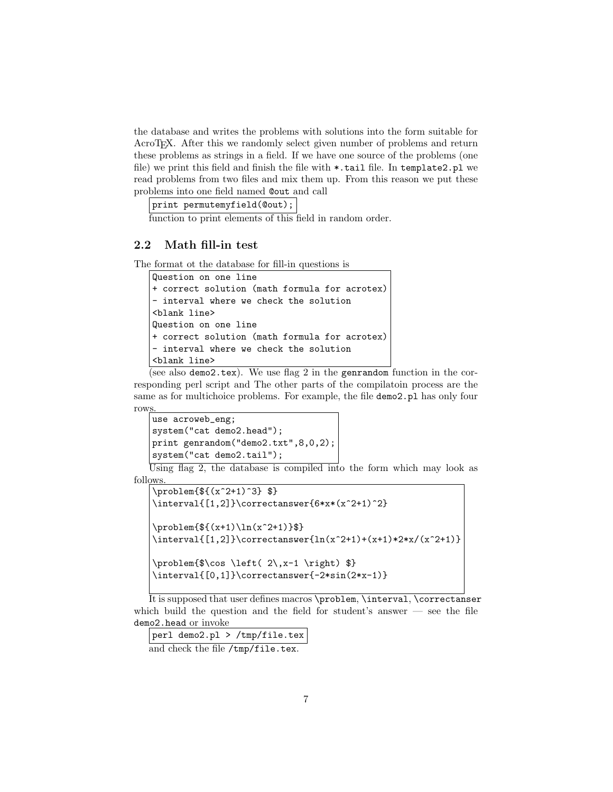the database and writes the problems with solutions into the form suitable for AcroT<sub>E</sub>X. After this we randomly select given number of problems and return these problems as strings in a field. If we have one source of the problems (one file) we print this field and finish the file with \*.tail file. In template2.pl we read problems from two files and mix them up. From this reason we put these problems into one field named @out and call

print permutemyfield(@out);

function to print elements of this field in random order.

### 2.2 Math fill-in test

The format ot the database for fill-in questions is

```
Question on one line
+ correct solution (math formula for acrotex)
- interval where we check the solution
<blank line>
Question on one line
+ correct solution (math formula for acrotex)
- interval where we check the solution
<blank line>
```
(see also demo2.tex). We use flag 2 in the genrandom function in the corresponding perl script and The other parts of the compilatoin process are the same as for multichoice problems. For example, the file demo2.pl has only four rows.

```
use acroweb_eng;
system("cat demo2.head");
print genrandom("demo2.txt",8,0,2);
system("cat demo2.tail");
```
Using flag 2, the database is compiled into the form which may look as follows.

```
\problem{${(x^2+1)^3} $}
\interval{[1,2]}\correctanswer{6*x*(x^2+1)^2}
\problem{${(x+1)\ln(x^2+1)}$}
\int_{x^2+1}^{(x^2+1)+(x+1)*2*x/(x^2+1)}\problem{$\cos \left( 2\, x-1 \right) $}
\interval{[0,1]}\correctanswer{-2*sin(2*x-1)}
```
It is supposed that user defines macros \problem, \interval, \correctanser which build the question and the field for student's answer — see the file demo2.head or invoke

perl demo2.pl > /tmp/file.tex and check the file /tmp/file.tex.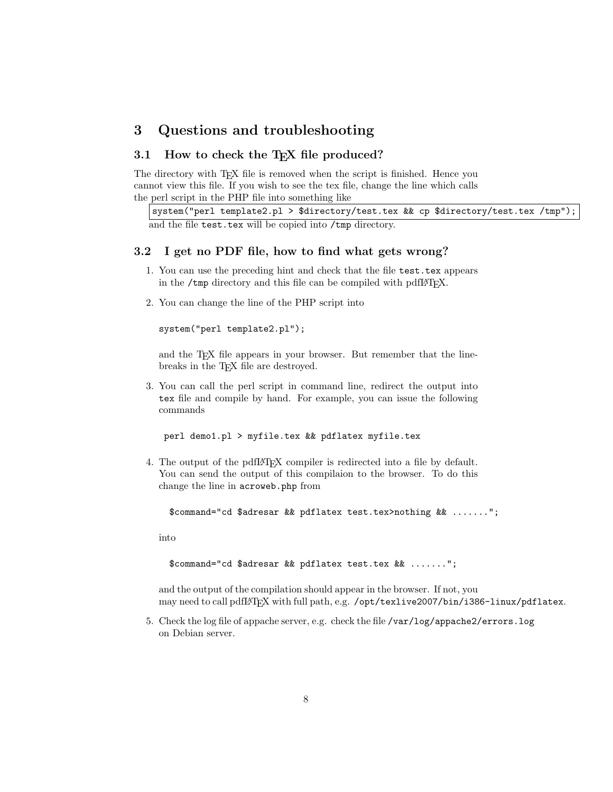# 3 Questions and troubleshooting

## 3.1 How to check the T<sub>E</sub>X file produced?

The directory with T<sub>EX</sub> file is removed when the script is finished. Hence you cannot view this file. If you wish to see the tex file, change the line which calls the perl script in the PHP file into something like

```
system("perl template2.pl > $directory/test.tex && cp $directory/test.tex /tmp");
and the file test.tex will be copied into /tmp directory.
```
#### 3.2 I get no PDF file, how to find what gets wrong?

- 1. You can use the preceding hint and check that the file test.tex appears in the /tmp directory and this file can be compiled with pdfI4T<sub>F</sub>X.
- 2. You can change the line of the PHP script into

system("perl template2.pl");

and the T<sub>E</sub>X file appears in your browser. But remember that the linebreaks in the T<sub>E</sub>X file are destroyed.

3. You can call the perl script in command line, redirect the output into tex file and compile by hand. For example, you can issue the following commands

perl demo1.pl > myfile.tex && pdflatex myfile.tex

4. The output of the pdfLATEX compiler is redirected into a file by default. You can send the output of this compilaion to the browser. To do this change the line in acroweb.php from

\$command="cd \$adresar && pdflatex test.tex>nothing && .......";

into

```
$command="cd $adresar && pdflatex test.tex && .......";
```
and the output of the compilation should appear in the browser. If not, you may need to call pdfLAT<sub>EX</sub> with full path, e.g. /opt/texlive2007/bin/i386-linux/pdflatex.

5. Check the log file of appache server, e.g. check the file /var/log/appache2/errors.log on Debian server.